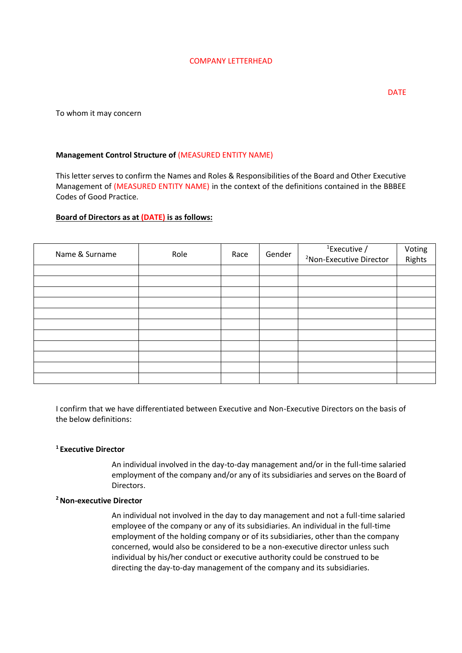#### COMPANY LETTERHEAD

DATE

To whom it may concern

## **Management Control Structure of** (MEASURED ENTITY NAME)

This letter serves to confirm the Names and Roles & Responsibilities of the Board and Other Executive Management of (MEASURED ENTITY NAME) in the context of the definitions contained in the BBBEE Codes of Good Practice.

### **Board of Directors as at (DATE) is as follows:**

| Name & Surname | Role | Race | Gender | $1$ Executive /                     | Voting |
|----------------|------|------|--------|-------------------------------------|--------|
|                |      |      |        | <sup>2</sup> Non-Executive Director | Rights |
|                |      |      |        |                                     |        |
|                |      |      |        |                                     |        |
|                |      |      |        |                                     |        |
|                |      |      |        |                                     |        |
|                |      |      |        |                                     |        |
|                |      |      |        |                                     |        |
|                |      |      |        |                                     |        |
|                |      |      |        |                                     |        |
|                |      |      |        |                                     |        |
|                |      |      |        |                                     |        |
|                |      |      |        |                                     |        |

I confirm that we have differentiated between Executive and Non-Executive Directors on the basis of the below definitions:

### **<sup>1</sup>Executive Director**

An individual involved in the day-to-day management and/or in the full-time salaried employment of the company and/or any of its subsidiaries and serves on the Board of Directors.

### **<sup>2</sup>Non-executive Director**

An individual not involved in the day to day management and not a full-time salaried employee of the company or any of its subsidiaries. An individual in the full-time employment of the holding company or of its subsidiaries, other than the company concerned, would also be considered to be a non-executive director unless such individual by his/her conduct or executive authority could be construed to be directing the day-to-day management of the company and its subsidiaries.